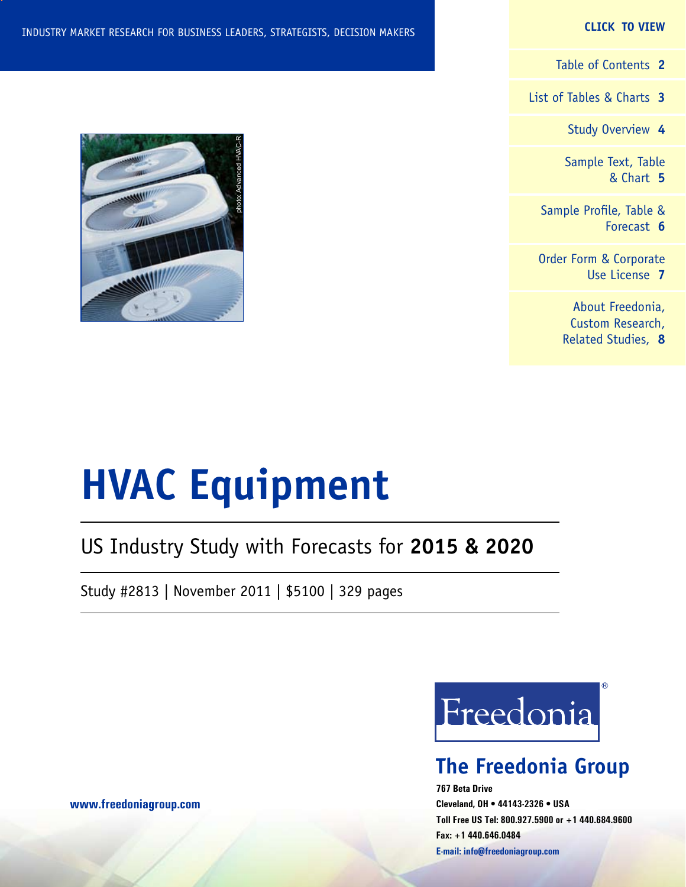#### **CLICK TO VIEW**

[Table of Contents](#page-1-0) **2**

[List of Tables & Charts](#page-2-0) **3**

[Study Overview](#page-3-0) **4**

[Sample Text, Table](#page-4-0) [& Chart](#page-4-0) **5**

[Sample Profile, Table &](#page-5-0) [Forecast](#page-5-0) **6**

[Order Form & Corporate](#page-6-0) [Use License](#page-6-0) **7**

> [About Freedonia,](#page-7-0) [Custom Research,](#page-7-0) [Related Studies,](#page-7-0) **8**



# **HVAC Equipment**

# US Industry Study with Forecasts for **2015 & 2020**

Study #2813 | November 2011 | \$5100 | 329 pages



# **The Freedonia Group**

**767 Beta Drive Cleveland, OH • 44143-2326 • USA Toll Free US Tel: 800.927.5900 or +1 440.684.9600 Fax: +1 440.646.0484 E-mail: [info@freedoniagroup.com](mailto:info@freedoniagroup.com)**

**[www.freedoniagroup.com](http://www.freedoniagroup.com/Home.aspx?ReferrerId=FM-Bro)**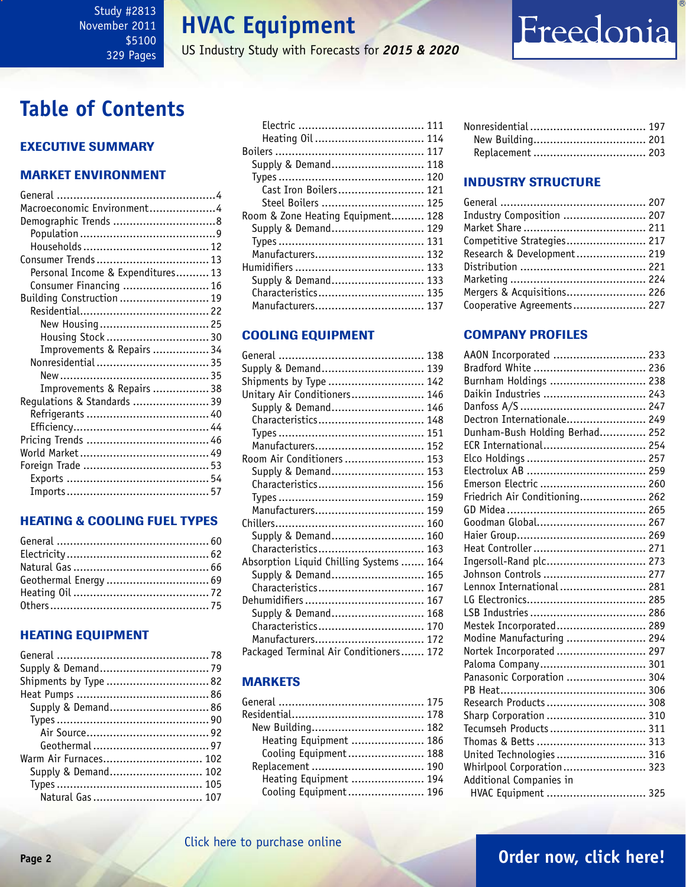# **HVAC Equipment**

US Industry Study with Forecasts for *2015 & 2020*

# <span id="page-1-0"></span>**Table of Contents**

### Executive Summary

### Market EnvironmenT

| Macroeconomic Environment4        |  |
|-----------------------------------|--|
| Demographic Trends 8              |  |
|                                   |  |
|                                   |  |
|                                   |  |
| Personal Income & Expenditures 13 |  |
| Consumer Financing  16            |  |
| Building Construction  19         |  |
|                                   |  |
| New Housing 25                    |  |
| Housing Stock  30                 |  |
| Improvements & Repairs  34        |  |
|                                   |  |
|                                   |  |
| Improvements & Repairs  38        |  |
| Regulations & Standards  39       |  |
|                                   |  |
|                                   |  |
|                                   |  |
|                                   |  |
|                                   |  |
|                                   |  |
|                                   |  |

### HEATING & COOLING FUEL TYPES

### HEATING EQUIPMENT

| Shipments by Type  82 |  |
|-----------------------|--|
|                       |  |
| Supply & Demand 86    |  |
|                       |  |
|                       |  |
|                       |  |
| Warm Air Furnaces 102 |  |
| Supply & Demand 102   |  |
|                       |  |
| Natural Gas  107      |  |

| Heating Oil  114                  |  |
|-----------------------------------|--|
|                                   |  |
| Supply & Demand 118               |  |
|                                   |  |
| Cast Iron Boilers 121             |  |
| Steel Boilers  125                |  |
| Room & Zone Heating Equipment 128 |  |
| Supply & Demand 129               |  |
|                                   |  |
| Manufacturers 132                 |  |
|                                   |  |
| Supply & Demand 133               |  |
|                                   |  |
| Manufacturers 137                 |  |

### COOLING EQUIPMENT

| Supply & Demand 139                     |  |
|-----------------------------------------|--|
| Shipments by Type  142                  |  |
| Unitary Air Conditioners 146            |  |
| Supply & Demand 146                     |  |
|                                         |  |
|                                         |  |
| Manufacturers 152                       |  |
| Room Air Conditioners  153              |  |
| Supply & Demand 153                     |  |
|                                         |  |
|                                         |  |
| Manufacturers 159                       |  |
|                                         |  |
| Supply & Demand 160                     |  |
| Characteristics 163                     |  |
| Absorption Liquid Chilling Systems  164 |  |
| Supply & Demand 165                     |  |
| Characteristics 167                     |  |
|                                         |  |
| Supply & Demand 168                     |  |
| Characteristics 170                     |  |
| Manufacturers 172                       |  |
| Packaged Terminal Air Conditioners 172  |  |

### MARKETS

| New Building 182       |  |
|------------------------|--|
| Heating Equipment  186 |  |
| Cooling Equipment 188  |  |
| Replacement  190       |  |
| Heating Equipment  194 |  |
| Cooling Equipment 196  |  |
|                        |  |

Freedonia

### INDUSTRY STRUCTURE

| Industry Composition  207  |  |
|----------------------------|--|
|                            |  |
| Competitive Strategies 217 |  |
| Research & Development 219 |  |
|                            |  |
|                            |  |
| Mergers & Acquisitions 226 |  |
| Cooperative Agreements 227 |  |

### Company Profiles

| AAON Incorporated  233         |
|--------------------------------|
| Bradford White  236            |
| Burnham Holdings  238          |
| Daikin Industries  243         |
|                                |
| Dectron Internationale 249     |
| Dunham-Bush Holding Berhad 252 |
| ECR International 254          |
|                                |
|                                |
| Emerson Electric  260          |
| Friedrich Air Conditioning 262 |
|                                |
| Goodman Global 267             |
|                                |
|                                |
| Ingersoll-Rand plc 273         |
| Johnson Controls  277          |
| Lennox International  281      |
|                                |
|                                |
| Mestek Incorporated 289        |
| Modine Manufacturing  294      |
| Nortek Incorporated  297       |
| Paloma Company 301             |
| Panasonic Corporation  304     |
|                                |
| Research Products  308         |
| Sharp Corporation  310         |
| Tecumseh Products 311          |
|                                |
| United Technologies  316       |
| Whirlpool Corporation 323      |
| Additional Companies in        |
| HVAC Equipment  325            |

# [Click here to purchase online](http://www.freedoniagroup.com/DocumentDetails.aspx?Referrerid=FM-Bro&StudyID=2813)

# **Page 2 [Order now, click here!](#page-6-0)**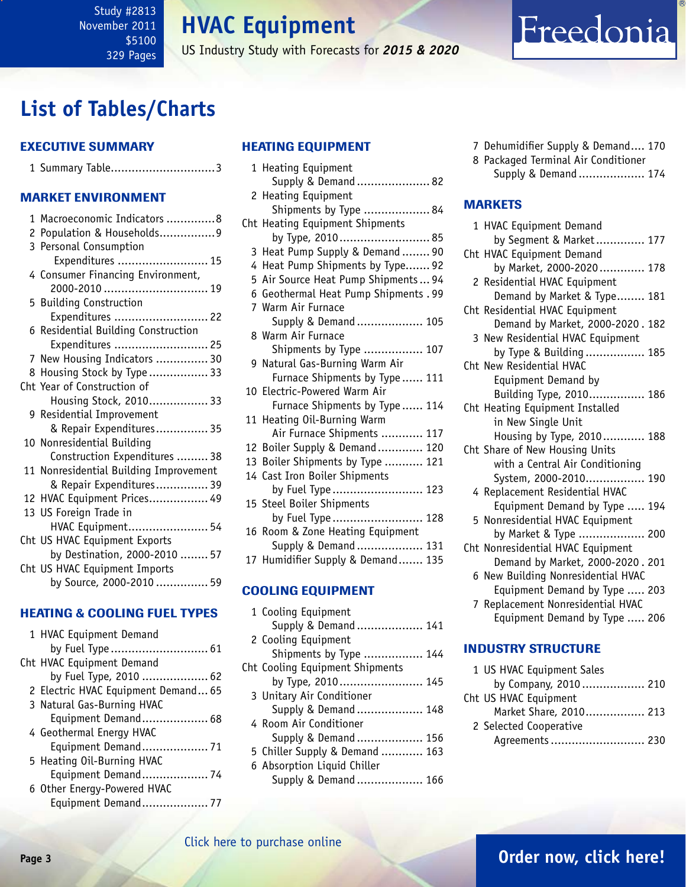# **HVAC Equipment**

US Industry Study with Forecasts for *2015 & 2020*

# <span id="page-2-0"></span>**List of Tables/Charts**

### Executive Summary

| 1 Summary Table3 |  |
|------------------|--|
|------------------|--|

### Market EnvironmenT

| 1 Macroeconomic Indicators 8           |
|----------------------------------------|
| 2 Population & Households9             |
| 3 Personal Consumption                 |
| Expenditures  15                       |
| 4 Consumer Financing Environment,      |
| 2000-2010  19                          |
| 5 Building Construction                |
| Expenditures  22                       |
| 6 Residential Building Construction    |
| Expenditures  25                       |
| 7 New Housing Indicators  30           |
| 8 Housing Stock by Type  33            |
| Cht Year of Construction of            |
| Housing Stock, 2010 33                 |
| 9 Residential Improvement              |
| & Repair Expenditures 35               |
| 10 Nonresidential Building             |
| Construction Expenditures  38          |
| 11 Nonresidential Building Improvement |
| & Repair Expenditures 39               |
| 12 HVAC Equipment Prices 49            |
| 13 US Foreign Trade in                 |
| HVAC Equipment 54                      |
| Cht US HVAC Equipment Exports          |
| by Destination, 2000-2010  57          |
| Cht US HVAC Equipment Imports          |
| by Source, 2000-2010  59               |

### HEATING & COOLING FUEL TYPES

| 1 HVAC Equipment Demand             |
|-------------------------------------|
| by Fuel Type  61                    |
| Cht HVAC Equipment Demand           |
| by Fuel Type, 2010  62              |
| 2 Electric HVAC Equipment Demand 65 |
| 3 Natural Gas-Burning HVAC          |
| Equipment Demand 68                 |
| 4 Geothermal Energy HVAC            |
| Equipment Demand 71                 |
| 5 Heating Oil-Burning HVAC          |
| Equipment Demand 74                 |
| 6 Other Energy-Powered HVAC         |
| Equipment Demand 77                 |

### HEATING EQUIPMENT

| 1 Heating Equipment                   |
|---------------------------------------|
| Supply & Demand  82                   |
| 2 Heating Equipment                   |
| Shipments by Type  84                 |
| Cht Heating Equipment Shipments       |
| by Type, 2010 85                      |
| 3 Heat Pump Supply & Demand  90       |
| 4 Heat Pump Shipments by Type 92      |
| 5 Air Source Heat Pump Shipments 94   |
| 6 Geothermal Heat Pump Shipments . 99 |
| 7 Warm Air Furnace                    |
| Supply & Demand  105                  |
| 8 Warm Air Furnace                    |
| Shipments by Type  107                |
| 9 Natural Gas-Burning Warm Air        |
| Furnace Shipments by Type  111        |
| 10 Electric-Powered Warm Air          |
| Furnace Shipments by Type 114         |
| 11 Heating Oil-Burning Warm           |
| Air Furnace Shipments  117            |
| 12 Boiler Supply & Demand 120         |
| 13 Boiler Shipments by Type  121      |
| 14 Cast Iron Boiler Shipments         |
| by Fuel Type  123                     |
| 15 Steel Boiler Shipments             |
| by Fuel Type  128                     |
| 16 Room & Zone Heating Equipment      |
| Supply & Demand  131                  |
| 17 Humidifier Supply & Demand 135     |

#### COOLING EQUIPMENT

| 1 Cooling Equipment             |  |
|---------------------------------|--|
| Supply & Demand  141            |  |
| 2 Cooling Equipment             |  |
| Shipments by Type  144          |  |
| Cht Cooling Equipment Shipments |  |
| by Type, 2010 145               |  |
| 3 Unitary Air Conditioner       |  |
| Supply & Demand  148            |  |
| 4 Room Air Conditioner          |  |
| Supply & Demand  156            |  |
| 5 Chiller Supply & Demand  163  |  |
| 6 Absorption Liquid Chiller     |  |
| Supply & Demand  166            |  |
|                                 |  |

- 7 Dehumidifier Supply & Demand.... 170
- 8 Packaged Terminal Air Conditioner
	- Supply & Demand ................... 174

Freedonia

### **MARKETS**

| 1 HVAC Equipment Demand            |  |
|------------------------------------|--|
| by Seqment & Market 177            |  |
| Cht HVAC Equipment Demand          |  |
| by Market, 2000-2020 178           |  |
| 2 Residential HVAC Equipment       |  |
| Demand by Market & Type 181        |  |
| Cht Residential HVAC Equipment     |  |
| Demand by Market, 2000-2020. 182   |  |
| 3 New Residential HVAC Equipment   |  |
| by Type & Building  185            |  |
| Cht New Residential HVAC           |  |
| Equipment Demand by                |  |
| Building Type, 2010 186            |  |
| Cht Heating Equipment Installed    |  |
| in New Single Unit                 |  |
| Housing by Type, 2010 188          |  |
| Cht Share of New Housing Units     |  |
| with a Central Air Conditioning    |  |
| System, 2000-2010 190              |  |
| 4 Replacement Residential HVAC     |  |
| Equipment Demand by Type  194      |  |
| 5 Nonresidential HVAC Equipment    |  |
| by Market & Type  200              |  |
| Cht Nonresidential HVAC Equipment  |  |
| Demand by Market, 2000-2020. 201   |  |
| 6 New Building Nonresidential HVAC |  |
| Equipment Demand by Type  203      |  |
| 7 Replacement Nonresidential HVAC  |  |
| Equipment Demand by Type  206      |  |
|                                    |  |
| <b>INDUSTRY STRUCTURE</b>          |  |
|                                    |  |

| 1 US HVAC Equipment Sales |  |
|---------------------------|--|
| by Company, 2010 210      |  |
| Cht US HVAC Equipment     |  |
| Market Share, 2010 213    |  |
| 2 Selected Cooperative    |  |
| Agreements  230           |  |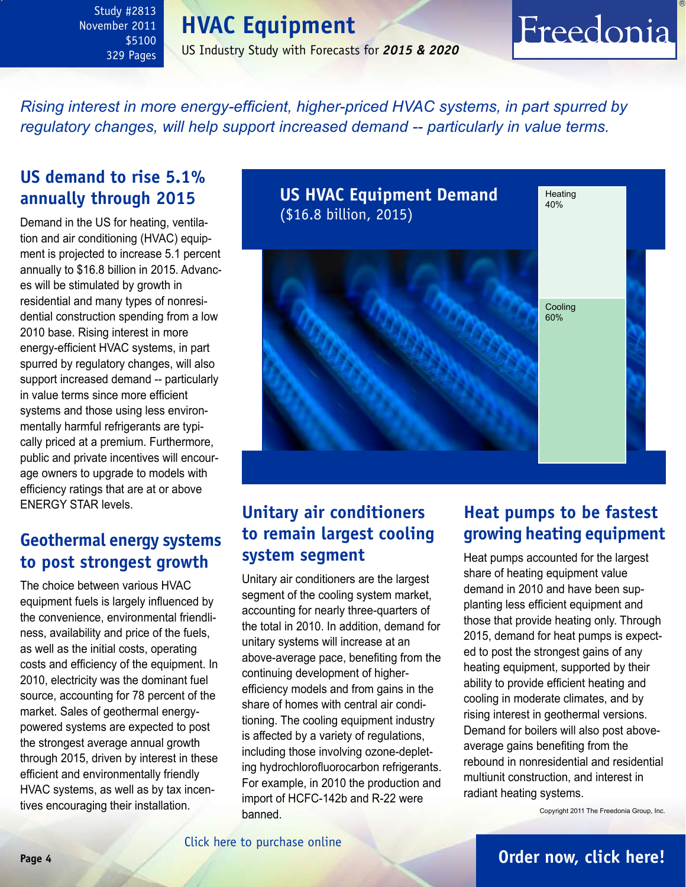# **HVAC Equipment**

US Industry Study with Forecasts for *2015 & 2020*

<span id="page-3-0"></span>*Rising interest in more energy-efficient, higher-priced HVAC systems, in part spurred by regulatory changes, will help support increased demand -- particularly in value terms.* 

# **US demand to rise 5.1% annually through 2015**

Demand in the US for heating, ventilation and air conditioning (HVAC) equipment is projected to increase 5.1 percent annually to \$16.8 billion in 2015. Advances will be stimulated by growth in residential and many types of nonresidential construction spending from a low 2010 base. Rising interest in more energy-efficient HVAC systems, in part spurred by regulatory changes, will also support increased demand -- particularly in value terms since more efficient systems and those using less environmentally harmful refrigerants are typically priced at a premium. Furthermore, public and private incentives will encourage owners to upgrade to models with efficiency ratings that are at or above ENERGY STAR levels.

# **Geothermal energy systems to post strongest growth**

The choice between various HVAC equipment fuels is largely influenced by the convenience, environmental friendliness, availability and price of the fuels, as well as the initial costs, operating costs and efficiency of the equipment. In 2010, electricity was the dominant fuel source, accounting for 78 percent of the market. Sales of geothermal energypowered systems are expected to post the strongest average annual growth through 2015, driven by interest in these efficient and environmentally friendly HVAC systems, as well as by tax incentives encouraging their installation.

**US HVAC Equipment Demand** (\$16.8 billion, 2015) **Heating** 40% **Cooling** 60%

# **Unitary air conditioners to remain largest cooling system segment**

Unitary air conditioners are the largest segment of the cooling system market, accounting for nearly three-quarters of the total in 2010. In addition, demand for unitary systems will increase at an above-average pace, benefiting from the continuing development of higherefficiency models and from gains in the share of homes with central air conditioning. The cooling equipment industry is affected by a variety of regulations, including those involving ozone-depleting hydrochlorofluorocarbon refrigerants. For example, in 2010 the production and import of HCFC-142b and R-22 were banned.

# **Heat pumps to be fastest growing heating equipment**

Freedonia

Heat pumps accounted for the largest share of heating equipment value demand in 2010 and have been supplanting less efficient equipment and those that provide heating only. Through 2015, demand for heat pumps is expected to post the strongest gains of any heating equipment, supported by their ability to provide efficient heating and cooling in moderate climates, and by rising interest in geothermal versions. Demand for boilers will also post aboveaverage gains benefiting from the rebound in nonresidential and residential multiunit construction, and interest in radiant heating systems.

Copyright 2011 The Freedonia Group, Inc.

# **Page 4 [Order now, click here!](#page-6-0)**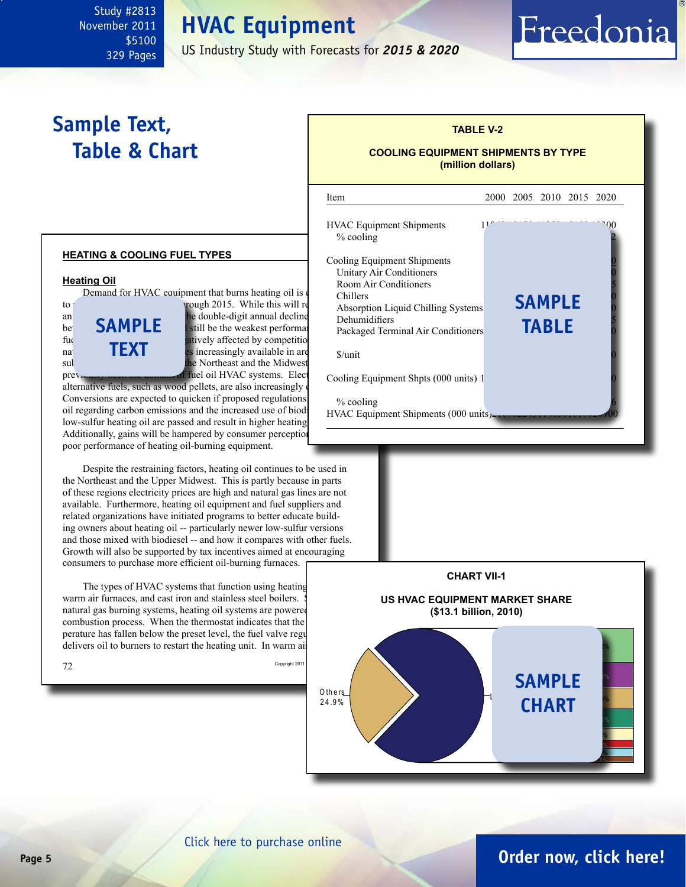# **HVAC Equipment**

US Industry Study with Forecasts for *2015 & 2020*

l

# <span id="page-4-0"></span>**Sample Text, Table & Chart**

## **TABLE V-2 COOLING EQUIPMENT SHIPMENTS BY TYPE**

Freedonia

**(million dollars)**

#### **heating & cooling fuel types**

**text**

#### **Heating Oil**

Demand for HVAC equipment that burns heating oil is  $\epsilon$  chillers

to remain flat at  $\frac{1}{100}$  mough 2015. While this will represent the property of the property of the property of the property of the property of the property of the property of the property of the property of the proper an improvement compared to the double-digit annual declines posted between  $\sum A \parallel \parallel \parallel \parallel$  and 2010, it still be the weakest performance for any  $\sum A \parallel \parallel \parallel \parallel$ fue  $\frac{1}{\sqrt{2}}$  fuely affected by competition natural **EX** is the latter becomes increasingly available in areas such as  $\frac{\text{g}}{\text{unit}}$ sul suburbs and rural locations in the Northeast and the Midwest previously been the domain of fuel oil HVAC systems. Elec **sample**

alternative fuels, such as wood pellets, are also increasingly Conversions are expected to quicken if proposed regulations oil regarding carbon emissions and the increased use of biodies low-sulfur heating oil are passed and result in higher heating. Additionally, gains will be hampered by consumer perception poor performance of heating oil-burning equipment.

Despite the restraining factors, heating oil continues to be used in the Northeast and the Upper Midwest. This is partly because in parts of these regions electricity prices are high and natural gas lines are not available. Furthermore, heating oil equipment and fuel suppliers and related organizations have initiated programs to better educate building owners about heating oil -- particularly newer low-sulfur versions and those mixed with biodiesel -- and how it compares with other fuels. Growth will also be supported by tax incentives aimed at encouraging consumers to purchase more efficient oil-burning furnaces.

The types of HVAC systems that function using heating warm air furnaces, and cast iron and stainless steel boilers. natural gas burning systems, heating oil systems are powered combustion process. When the thermostat indicates that the perature has fallen below the preset level, the fuel valve regulates and the preset level. delivers oil to burners to restart the heating unit. In warm air





# **Page 5 [Order now, click here!](#page-6-0)**

### [Click here to purchase online](http://www.freedoniagroup.com/DocumentDetails.aspx?Referrerid=FM-Bro&StudyID=2813)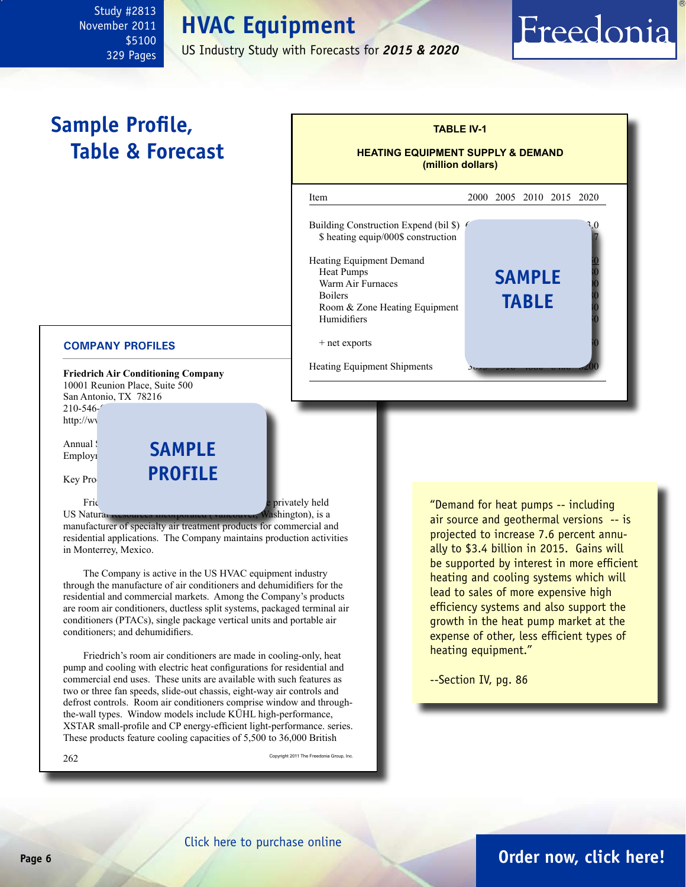# **HVAC Equipment**

US Industry Study with Forecasts for *2015 & 2020*

# <span id="page-5-0"></span>**Sample Profile, Table & Forecast**

# **HEATING EQUIPMENT SUPPLY & DEMAND (million dollars)** l Item 2000 2005 2010 2015 2020 Building Construction Expend (bil \$). \$ heating equip/000\$ construction Heating Equipment Demand Heat Pumps **1217 2183 2340 SAMPLE** <sup>80</sup><br>Warm Air Furnaces Warm Air Furnaces Boilers 30<br>Room & Zone Heating Equipment **TABLE** Room & Zone Heating Equipment Humidifiers + net exports Heating Equipment Shipments

**TABLE IV-1**

Freedonia

#### **COMPANY PROFILES**

**Friedrich Air Conditioning Company** 10001 Reunion Place, Suite 500 San Antonio, TX 78216 210-546http://ww

Employi

Annual SAMPLE **PROFILE** 

Friedrich Air Conditioning, a subsidiary of the privately held

US Natural Resources Incorporated (Vancouver, Washington), is a manufacturer of specialty air treatment products for commercial and residential applications. The Company maintains production activities in Monterrey, Mexico.

The Company is active in the US HVAC equipment industry through the manufacture of air conditioners and dehumidifiers for the residential and commercial markets. Among the Company's products are room air conditioners, ductless split systems, packaged terminal air conditioners (PTACs), single package vertical units and portable air conditioners; and dehumidifiers.

Friedrich's room air conditioners are made in cooling-only, heat pump and cooling with electric heat configurations for residential and commercial end uses. These units are available with such features as two or three fan speeds, slide-out chassis, eight-way air controls and defrost controls. Room air conditioners comprise window and throughthe-wall types. Window models include KÜHL high-performance, XSTAR small-profile and CP energy-efficient light-performance. series. These products feature cooling capacities of 5,500 to 36,000 British

 $262$  Copyright 2011 The Freedonia Group, Inc.

"Demand for heat pumps -- including air source and geothermal versions -- is projected to increase 7.6 percent annually to \$3.4 billion in 2015. Gains will be supported by interest in more efficient heating and cooling systems which will lead to sales of more expensive high efficiency systems and also support the growth in the heat pump market at the expense of other, less efficient types of heating equipment."

--Section IV, pg. 86

[Click here to purchase online](http://www.freedoniagroup.com/DocumentDetails.aspx?Referrerid=FM-Bro&StudyID=2813)

# **Page 6 [Order now, click here!](#page-6-0)**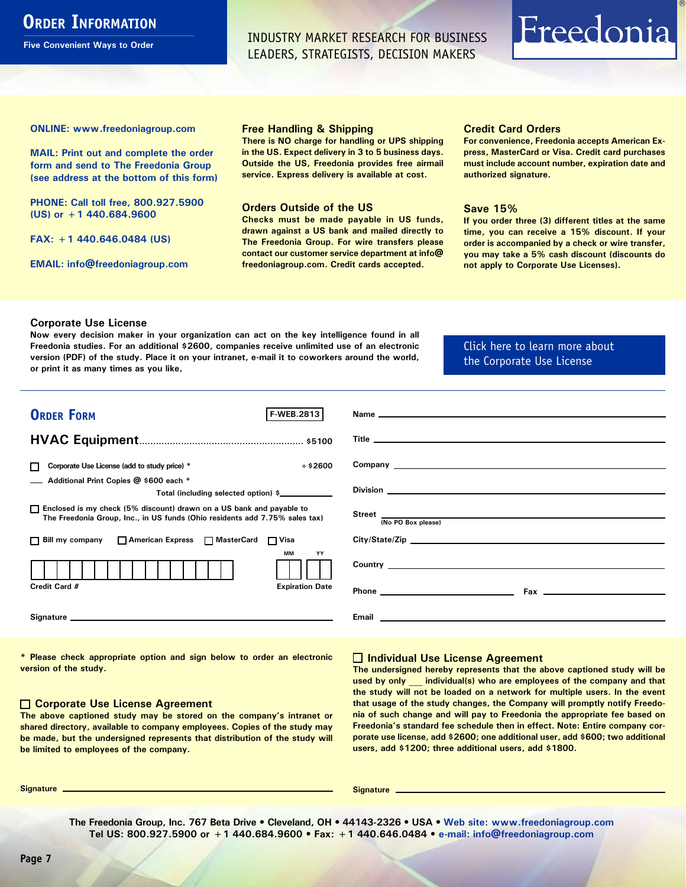# <span id="page-6-0"></span>**ORDER INFORMATION**

**Five Convenient Ways to Order**

INDUSTRY MARKET RESEARCH FOR BUSINESS LEADERS, STRATEGISTS, DECISION MAKERS

# Freedonia

**ONLINE: [www.freedoniagroup.com](http://www.freedoniagroup.com/DocumentDetails.aspx?Referrerid=FM-Bro&StudyID=2813)**

**MAIL: Print out and complete the order form and send to The Freedonia Group (see address at the bottom of this form)**

**PHONE: Call toll free, 800.927.5900 (US) or +1 440.684.9600**

**FAX: +1 440.646.0484 (US)**

**EMAIL: [info@freedoniagroup.com](mailto:info@freedoniagroup.com)**

#### **Free Handling & Shipping**

**There is NO charge for handling or UPS shipping in the US. Expect delivery in 3 to 5 business days. Outside the US, Freedonia provides free airmail service. Express delivery is available at cost.**

#### **Orders Outside of the US**

**Checks must be made payable in US funds, drawn against a US bank and mailed directly to The Freedonia Group. For wire transfers please contact our customer service department at info@ freedoniagroup.com. Credit cards accepted.**

#### **Credit Card Orders**

**For convenience, Freedonia accepts American Express, MasterCard or Visa. Credit card purchases must include account number, expiration date and authorized signature.**

#### **Save 15%**

**If you order three (3) different titles at the same time, you can receive a 15% discount. If your order is accompanied by a check or wire transfer, you may take a 5% cash discount (discounts do not apply to Corporate Use Licenses).**

#### **Corporate Use License**

**Now every decision maker in your organization can act on the key intelligence found in all Freedonia studies. For an additional \$2600, companies receive unlimited use of an electronic version (PDF) of the study. Place it on your intranet, e-mail it to coworkers around the world, or print it as many times as you like,** 

### [Click here to learn more about](http://www.freedoniagroup.com/pdf/FreedoniaCULBro.pdf)  [the Corporate Use License](http://www.freedoniagroup.com/pdf/FreedoniaCULBro.pdf)

| <b>ORDER FORM</b><br>F-WEB.2813                                                                                                                                                                                                |                                                                                                                                                                                                                                     |
|--------------------------------------------------------------------------------------------------------------------------------------------------------------------------------------------------------------------------------|-------------------------------------------------------------------------------------------------------------------------------------------------------------------------------------------------------------------------------------|
|                                                                                                                                                                                                                                |                                                                                                                                                                                                                                     |
|                                                                                                                                                                                                                                |                                                                                                                                                                                                                                     |
|                                                                                                                                                                                                                                |                                                                                                                                                                                                                                     |
| $+$ \$2600<br>Corporate Use License (add to study price) *                                                                                                                                                                     |                                                                                                                                                                                                                                     |
| Additional Print Copies @ \$600 each *                                                                                                                                                                                         |                                                                                                                                                                                                                                     |
| Total (including selected option) \$____________                                                                                                                                                                               |                                                                                                                                                                                                                                     |
| □ Enclosed is my check (5% discount) drawn on a US bank and payable to<br>The Freedonia Group, Inc., in US funds (Ohio residents add 7.75% sales tax)                                                                          | Street  No PO Box please)                                                                                                                                                                                                           |
|                                                                                                                                                                                                                                |                                                                                                                                                                                                                                     |
| □ Bill my company □ American Express □ MasterCard □ Visa                                                                                                                                                                       |                                                                                                                                                                                                                                     |
| <b>MM</b><br>YY                                                                                                                                                                                                                | Country <u>example</u> and the country of the country of the country of the country of the country of the country of the country of the country of the country of the country of the country of the country of the country of the c |
| <b>Expiration Date</b><br>Credit Card #                                                                                                                                                                                        |                                                                                                                                                                                                                                     |
| Signature experience and the state of the state of the state of the state of the state of the state of the state of the state of the state of the state of the state of the state of the state of the state of the state of th | <b>Email Exercise Exercise Exercise Service Service Service Service Service Service Service Service Service Service Service Service Service Service Service Service Service Service Service Service Service Service Service Se</b>  |

**\* Please check appropriate option and sign below to order an electronic version of the study.**

#### **Corporate Use License Agreement**

**The above captioned study may be stored on the company's intranet or shared directory, available to company employees. Copies of the study may be made, but the undersigned represents that distribution of the study will be limited to employees of the company.**

#### **Individual Use License Agreement**

**The undersigned hereby represents that the above captioned study will be used by only \_\_\_ individual(s) who are employees of the company and that the study will not be loaded on a network for multiple users. In the event that usage of the study changes, the Company will promptly notify Freedonia of such change and will pay to Freedonia the appropriate fee based on Freedonia's standard fee schedule then in effect. Note: Entire company corporate use license, add \$2600; one additional user, add \$600; two additional users, add \$1200; three additional users, add \$1800.**

**Signature Signature**

**The Freedonia Group, Inc. 767 Beta Drive • Cleveland, OH • 44143-2326 • USA • [Web site: www.freedoniagroup.com](http://www.freedoniagroup.com/Home.aspx?ReferrerId=FM-Bro) Tel US: 800.927.5900 or +1 440.684.9600 • Fax: +1 440.646.0484 • [e-mail: info@freedoniagroup.com](mailto:info@freedoniagroup.com)**